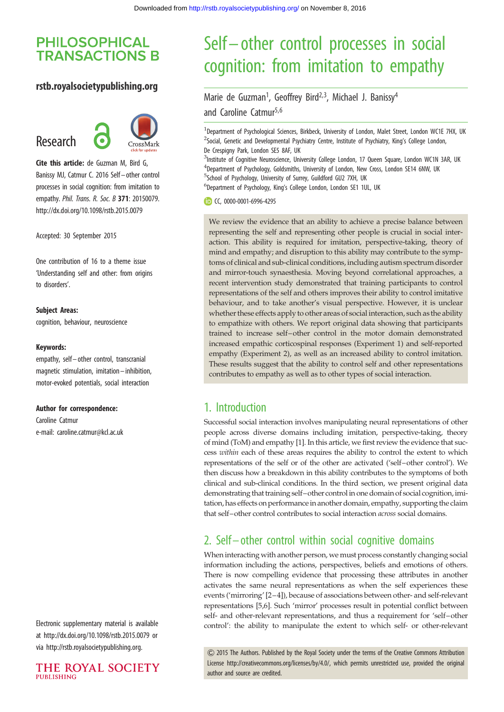# **PHILOSOPHICAL TRANSACTIONS B**

## rstb.royalsocietypublishing.org

# Research



Cite this article: de Guzman M, Bird G, Banissy MJ, Catmur C. 2016 Self – other control processes in social cognition: from imitation to empathy. Phil. Trans. R. Soc. B 371: 20150079. http://dx.doi.org/10.1098/rstb.2015.0079

Accepted: 30 September 2015

One contribution of 16 to a theme issue 'Understanding self and other: from origins to disorders'.

#### Subject Areas:

cognition, behaviour, neuroscience

#### Keywords:

empathy, self– other control, transcranial magnetic stimulation, imitation – inhibition, motor-evoked potentials, social interaction

#### Author for correspondence:

Caroline Catmur e-mail: [caroline.catmur@kcl.ac.uk](mailto:caroline.catmur@kcl.ac.uk)

Electronic supplementary material is available at<http://dx.doi.org/10.1098/rstb.2015.0079> or via [http://rstb.royalsocietypublishing.org.](http://rstb.royalsocietypublishing.org)



# Self-other control processes in social cognition: from imitation to empathy

Marie de Guzman<sup>1</sup>, Geoffrey Bird<sup>2,3</sup>, Michael J. Banissy<sup>4</sup>

and Caroline Catmur<sup>5,6</sup>

<sup>1</sup>Department of Psychological Sciences, Birkbeck, University of London, Malet Street, London WC1E 7HX, UK <sup>2</sup>Social, Genetic and Developmental Psychiatry Centre, Institute of Psychiatry, King's College London, De Crespigny Park, London SE5 8AF, UK

<sup>3</sup>Institute of Cognitive Neuroscience, University College London, 17 Queen Square, London WC1N 3AR, UK <sup>4</sup>Department of Psychology, Goldsmiths, University of London, New Cross, London SE14 6NW, UK <sup>5</sup>School of Psychology, University of Surrey, Guildford GU2 7XH, UK

<sup>6</sup>Department of Psychology, King's College London, London SE1 1UL, UK

CC, [0000-0001-6996-4295](http://orcid.org/0000-0001-6996-4295)

We review the evidence that an ability to achieve a precise balance between representing the self and representing other people is crucial in social interaction. This ability is required for imitation, perspective-taking, theory of mind and empathy; and disruption to this ability may contribute to the symptoms of clinical and sub-clinical conditions, including autism spectrum disorder and mirror-touch synaesthesia. Moving beyond correlational approaches, a recent intervention study demonstrated that training participants to control representations of the self and others improves their ability to control imitative behaviour, and to take another's visual perspective. However, it is unclear whether these effects apply to other areas of social interaction, such as the ability to empathize with others. We report original data showing that participants trained to increase self–other control in the motor domain demonstrated increased empathic corticospinal responses (Experiment 1) and self-reported empathy (Experiment 2), as well as an increased ability to control imitation. These results suggest that the ability to control self and other representations contributes to empathy as well as to other types of social interaction.

# 1. Introduction

Successful social interaction involves manipulating neural representations of other people across diverse domains including imitation, perspective-taking, theory of mind (ToM) and empathy [\[1\]](#page-7-0). In this article, we first review the evidence that success within each of these areas requires the ability to control the extent to which representations of the self or of the other are activated ('self–other control'). We then discuss how a breakdown in this ability contributes to the symptoms of both clinical and sub-clinical conditions. In the third section, we present original data demonstrating that training self–other control in one domain of social cognition, imitation, has effects on performance in another domain, empathy, supporting the claim that self-other control contributes to social interaction *across* social domains.

# 2. Self– other control within social cognitive domains

When interacting with another person, we must process constantly changing social information including the actions, perspectives, beliefs and emotions of others. There is now compelling evidence that processing these attributes in another activates the same neural representations as when the self experiences these events ('mirroring' [[2](#page-7-0)–[4\]](#page-7-0)), because of associations between other- and self-relevant representations [\[5,6](#page-7-0)]. Such 'mirror' processes result in potential conflict between self- and other-relevant representations, and thus a requirement for 'self–other control': the ability to manipulate the extent to which self- or other-relevant

& 2015 The Authors. Published by the Royal Society under the terms of the Creative Commons Attribution License [http://creativecommons.org/licenses/by/4.0/, which permits unrestricted use, provided the original](http://creativecommons.org/licenses/by/4.0/) [author and source are credited.](http://creativecommons.org/licenses/by/4.0/)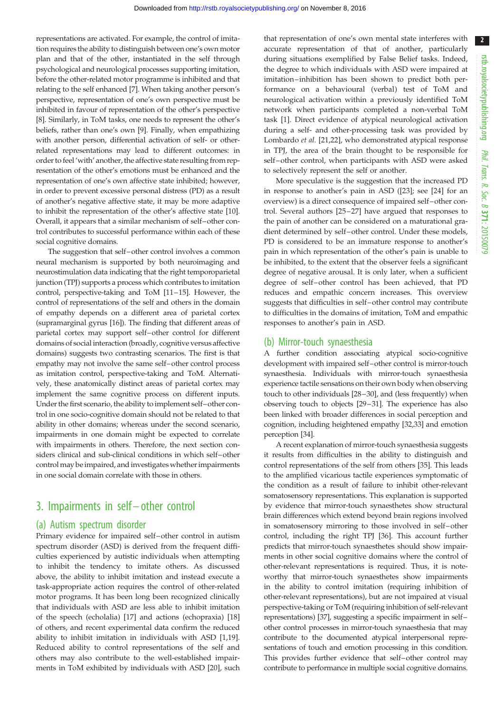$\overline{2}$ 

representations are activated. For example, the control of imitation requires the ability to distinguish between one's own motor plan and that of the other, instantiated in the self through psychological and neurological processes supporting imitation, before the other-related motor programme is inhibited and that relating to the self enhanced [\[7\]](#page-7-0). When taking another person's perspective, representation of one's own perspective must be inhibited in favour of representation of the other's perspective [\[8\]](#page-7-0). Similarly, in ToM tasks, one needs to represent the other's beliefs, rather than one's own [[9\]](#page-7-0). Finally, when empathizing with another person, differential activation of self- or otherrelated representations may lead to different outcomes: in order to feel 'with' another, the affective state resulting from representation of the other's emotions must be enhanced and the representation of one's own affective state inhibited; however, in order to prevent excessive personal distress (PD) as a result of another's negative affective state, it may be more adaptive to inhibit the representation of the other's affective state [[10](#page-7-0)]. Overall, it appears that a similar mechanism of self–other control contributes to successful performance within each of these social cognitive domains.

The suggestion that self–other control involves a common neural mechanism is supported by both neuroimaging and neurostimulation data indicating that the right temporoparietal junction (TPJ) supports a process which contributes to imitation control, perspective-taking and ToM [\[11](#page-7-0)–[15\]](#page-7-0). However, the control of representations of the self and others in the domain of empathy depends on a different area of parietal cortex (supramarginal gyrus [\[16](#page-7-0)]). The finding that different areas of parietal cortex may support self–other control for different domains of social interaction (broadly, cognitive versus affective domains) suggests two contrasting scenarios. The first is that empathy may not involve the same self–other control process as imitation control, perspective-taking and ToM. Alternatively, these anatomically distinct areas of parietal cortex may implement the same cognitive process on different inputs. Under the first scenario, the ability to implement self–other control in one socio-cognitive domain should not be related to that ability in other domains; whereas under the second scenario, impairments in one domain might be expected to correlate with impairments in others. Therefore, the next section considers clinical and sub-clinical conditions in which self–other control may be impaired, and investigates whether impairments in one social domain correlate with those in others.

# 3. Impairments in self – other control

# (a) Autism spectrum disorder

Primary evidence for impaired self-other control in autism spectrum disorder (ASD) is derived from the frequent difficulties experienced by autistic individuals when attempting to inhibit the tendency to imitate others. As discussed above, the ability to inhibit imitation and instead execute a task-appropriate action requires the control of other-related motor programs. It has been long been recognized clinically that individuals with ASD are less able to inhibit imitation of the speech (echolalia) [\[17](#page-7-0)] and actions (echopraxia) [[18\]](#page-8-0) of others, and recent experimental data confirm the reduced ability to inhibit imitation in individuals with ASD [[1](#page-7-0)[,19](#page-8-0)]. Reduced ability to control representations of the self and others may also contribute to the well-established impairments in ToM exhibited by individuals with ASD [\[20](#page-8-0)], such

that representation of one's own mental state interferes with accurate representation of that of another, particularly during situations exemplified by False Belief tasks. Indeed, the degree to which individuals with ASD were impaired at imitation –inhibition has been shown to predict both performance on a behavioural (verbal) test of ToM and neurological activation within a previously identified ToM network when participants completed a non-verbal ToM task [[1](#page-7-0)]. Direct evidence of atypical neurological activation during a self- and other-processing task was provided by Lombardo et al. [\[21](#page-8-0),[22\]](#page-8-0), who demonstrated atypical response in TPJ, the area of the brain thought to be responsible for self-other control, when participants with ASD were asked to selectively represent the self or another.

More speculative is the suggestion that the increased PD in response to another's pain in ASD ([\[23](#page-8-0)]; see [\[24](#page-8-0)] for an overview) is a direct consequence of impaired self –other control. Several authors [[25](#page-8-0)–[27](#page-8-0)] have argued that responses to the pain of another can be considered on a maturational gradient determined by self-other control. Under these models, PD is considered to be an immature response to another's pain in which representation of the other's pain is unable to be inhibited, to the extent that the observer feels a significant degree of negative arousal. It is only later, when a sufficient degree of self-other control has been achieved, that PD reduces and empathic concern increases. This overview suggests that difficulties in self –other control may contribute to difficulties in the domains of imitation, ToM and empathic responses to another's pain in ASD.

# (b) Mirror-touch synaesthesia

A further condition associating atypical socio-cognitive development with impaired self–other control is mirror-touch synaesthesia. Individuals with mirror-touch synaesthesia experience tactile sensations on their own body when observing touch to other individuals [\[28](#page-8-0)–[30\]](#page-8-0), and (less frequently) when observing touch to objects [\[29](#page-8-0)–[31](#page-8-0)]. The experience has also been linked with broader differences in social perception and cognition, including heightened empathy [[32,33\]](#page-8-0) and emotion perception [\[34\]](#page-8-0).

A recent explanation of mirror-touch synaesthesia suggests it results from difficulties in the ability to distinguish and control representations of the self from others [\[35](#page-8-0)]. This leads to the amplified vicarious tactile experiences symptomatic of the condition as a result of failure to inhibit other-relevant somatosensory representations. This explanation is supported by evidence that mirror-touch synaesthetes show structural brain differences which extend beyond brain regions involved in somatosensory mirroring to those involved in self–other control, including the right TPJ [\[36](#page-8-0)]. This account further predicts that mirror-touch synaesthetes should show impairments in other social cognitive domains where the control of other-relevant representations is required. Thus, it is noteworthy that mirror-touch synaesthetes show impairments in the ability to control imitation (requiring inhibition of other-relevant representations), but are not impaired at visual perspective-taking or ToM (requiring inhibition of self-relevant representations) [\[37\]](#page-8-0), suggesting a specific impairment in self– other control processes in mirror-touch synaesthesia that may contribute to the documented atypical interpersonal representations of touch and emotion processing in this condition. This provides further evidence that self–other control may contribute to performance in multiple social cognitive domains.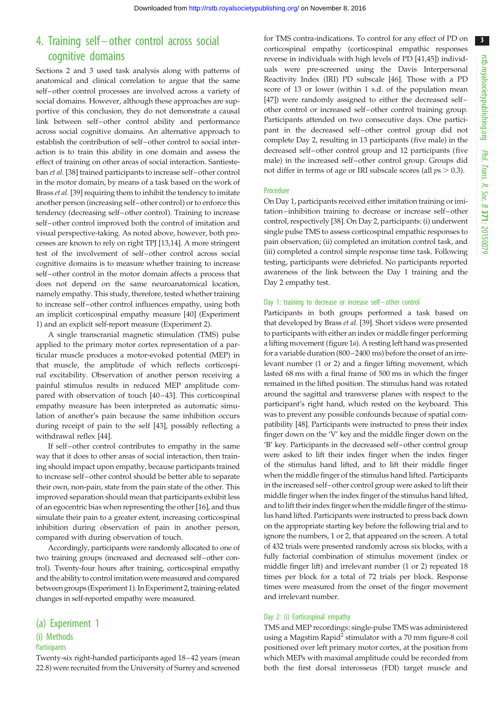# 4. Training self– other control across social cognitive domains

Sections 2 and 3 used task analysis along with patterns of anatomical and clinical correlation to argue that the same self–other control processes are involved across a variety of social domains. However, although these approaches are supportive of this conclusion, they do not demonstrate a causal link between self–other control ability and performance across social cognitive domains. An alternative approach to establish the contribution of self–other control to social interaction is to train this ability in one domain and assess the effect of training on other areas of social interaction. Santiesteban et al. [\[38](#page-8-0)] trained participants to increase self–other control in the motor domain, by means of a task based on the work of Brass et al. [\[39\]](#page-8-0) requiring them to inhibit the tendency to imitate another person (increasing self–other control) or to enforce this tendency (decreasing self–other control). Training to increase self–other control improved both the control of imitation and visual perspective-taking. As noted above, however, both processes are known to rely on right TPJ [\[13,14](#page-7-0)]. A more stringent test of the involvement of self –other control across social cognitive domains is to measure whether training to increase self–other control in the motor domain affects a process that does not depend on the same neuroanatomical location, namely empathy. This study, therefore, tested whether training to increase self –other control influences empathy, using both an implicit corticospinal empathy measure [[40\]](#page-8-0) (Experiment 1) and an explicit self-report measure (Experiment 2).

A single transcranial magnetic stimulation (TMS) pulse applied to the primary motor cortex representation of a particular muscle produces a motor-evoked potential (MEP) in that muscle, the amplitude of which reflects corticospinal excitability. Observation of another person receiving a painful stimulus results in reduced MEP amplitude compared with observation of touch [[40](#page-8-0) –[43](#page-8-0)]. This corticospinal empathy measure has been interpreted as automatic simulation of another's pain because the same inhibition occurs during receipt of pain to the self [\[43](#page-8-0)], possibly reflecting a withdrawal reflex [\[44](#page-8-0)].

If self –other control contributes to empathy in the same way that it does to other areas of social interaction, then training should impact upon empathy, because participants trained to increase self–other control should be better able to separate their own, non-pain, state from the pain state of the other. This improved separation should mean that participants exhibit less of an egocentric bias when representing the other [\[16](#page-7-0)], and thus simulate their pain to a greater extent, increasing corticospinal inhibition during observation of pain in another person, compared with during observation of touch.

Accordingly, participants were randomly allocated to one of two training groups (increased and decreased self–other control). Twenty-four hours after training, corticospinal empathy and the ability to control imitation were measured and compared between groups (Experiment 1). InExperiment 2, training-related changes in self-reported empathy were measured.

### (a) Experiment 1

### (i) Methods

#### **Participants**

Twenty-six right-handed participants aged 18–42 years (mean 22.8) were recruited from the University of Surrey and screened

for TMS contra-indications. To control for any effect of PD on corticospinal empathy (corticospinal empathic responses reverse in individuals with high levels of PD [\[41,45](#page-8-0)]) individuals were pre-screened using the Davis Interpersonal Reactivity Index (IRI) PD subscale [[46\]](#page-8-0). Those with a PD score of 13 or lower (within 1 s.d. of the population mean [[47\]](#page-8-0)) were randomly assigned to either the decreased selfother control or increased self –other control training group. Participants attended on two consecutive days. One participant in the decreased self–other control group did not complete Day 2, resulting in 13 participants (five male) in the decreased self–other control group and 12 participants (five male) in the increased self–other control group. Groups did not differ in terms of age or IRI subscale scores (all  $ps > 0.3$ ).

#### Procedure

On Day 1, participants received either imitation training or imitation–inhibition training to decrease or increase self–other control, respectively [[38\]](#page-8-0). On Day 2, participants: (i) underwent single pulse TMS to assess corticospinal empathic responses to pain observation; (ii) completed an imitation control task, and (iii) completed a control simple response time task. Following testing, participants were debriefed. No participants reported awareness of the link between the Day 1 training and the Day 2 empathy test.

#### Day 1: training to decrease or increase self-other control

Participants in both groups performed a task based on that developed by Brass et al. [[39\]](#page-8-0). Short videos were presented to participants with either an index or middle finger performing a lifting movement ([figure 1](#page-3-0)a). A resting left hand was presented for a variable duration (800–2400 ms) before the onset of an irrelevant number (1 or 2) and a finger lifting movement, which lasted 68 ms with a final frame of 500 ms in which the finger remained in the lifted position. The stimulus hand was rotated around the sagittal and transverse planes with respect to the participant's right hand, which rested on the keyboard. This was to prevent any possible confounds because of spatial compatibility [[48\]](#page-8-0). Participants were instructed to press their index finger down on the 'V' key and the middle finger down on the 'B' key. Participants in the decreased self–other control group were asked to lift their index finger when the index finger of the stimulus hand lifted, and to lift their middle finger when the middle finger of the stimulus hand lifted. Participants in the increased self–other control group were asked to lift their middle finger when the index finger of the stimulus hand lifted, and to lift their index finger when the middle finger of the stimulus hand lifted. Participants were instructed to press back down on the appropriate starting key before the following trial and to ignore the numbers, 1 or 2, that appeared on the screen. A total of 432 trials were presented randomly across six blocks, with a fully factorial combination of stimulus movement (index or middle finger lift) and irrelevant number (1 or 2) repeated 18 times per block for a total of 72 trials per block. Response times were measured from the onset of the finger movement and irrelevant number.

#### Day 2: (i) Corticospinal empathy

TMS and MEP recordings: single-pulse TMS was administered using a Magstim Rapid<sup>2</sup> stimulator with a 70 mm figure-8 coil positioned over left primary motor cortex, at the position from which MEPs with maximal amplitude could be recorded from both the first dorsal interosseus (FDI) target muscle and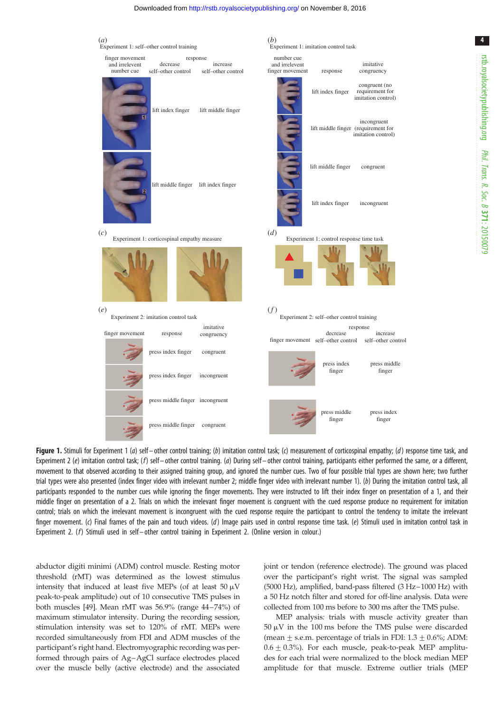<span id="page-3-0"></span>

Figure 1. Stimuli for Experiment 1 (a) self – other control training; (b) imitation control task; (c) measurement of corticospinal empathy; (d) response time task, and Experiment 2 (e) imitation control task; (f) self-other control training. (a) During self-other control training, participants either performed the same, or a different, movement to that observed according to their assigned training group, and ignored the number cues. Two of four possible trial types are shown here; two further trial types were also presented (index finger video with irrelevant number 2; middle finger video with irrelevant number 1). (b) During the imitation control task, all participants responded to the number cues while ignoring the finger movements. They were instructed to lift their index finger on presentation of a 1, and their middle finger on presentation of a 2. Trials on which the irrelevant finger movement is congruent with the cued response produce no requirement for imitation control; trials on which the irrelevant movement is incongruent with the cued response require the participant to control the tendency to imitate the irrelevant finger movement. (c) Final frames of the pain and touch videos. (d) Image pairs used in control response time task. (e) Stimuli used in imitation control task in Experiment 2. (f) Stimuli used in self-other control training in Experiment 2. (Online version in colour.)

abductor digiti minimi (ADM) control muscle. Resting motor threshold (rMT) was determined as the lowest stimulus intensity that induced at least five MEPs (of at least  $50 \mu$ V peak-to-peak amplitude) out of 10 consecutive TMS pulses in both muscles [\[49\]](#page-8-0). Mean rMT was 56.9% (range 44–74%) of maximum stimulator intensity. During the recording session, stimulation intensity was set to 120% of rMT. MEPs were recorded simultaneously from FDI and ADM muscles of the participant's right hand. Electromyographic recording was performed through pairs of Ag–AgCl surface electrodes placed over the muscle belly (active electrode) and the associated

joint or tendon (reference electrode). The ground was placed over the participant's right wrist. The signal was sampled (5000 Hz), amplified, band-pass filtered (3 Hz–1000 Hz) with a 50 Hz notch filter and stored for off-line analysis. Data were collected from 100 ms before to 300 ms after the TMS pulse.

MEP analysis: trials with muscle activity greater than  $50 \mu V$  in the 100 ms before the TMS pulse were discarded (mean  $\pm$  s.e.m. percentage of trials in FDI: 1.3  $\pm$  0.6%; ADM:  $0.6 \pm 0.3$ %). For each muscle, peak-to-peak MEP amplitudes for each trial were normalized to the block median MEP amplitude for that muscle. Extreme outlier trials (MEP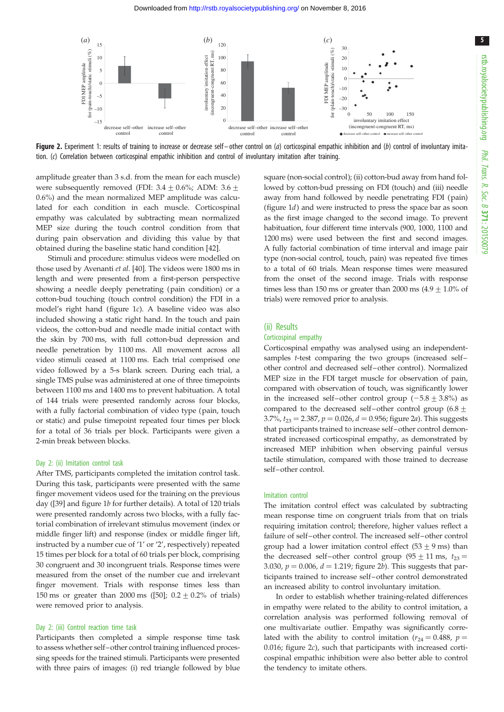

Figure 2. Experiment 1: results of training to increase or decrease self-other control on (a) corticospinal empathic inhibition and (b) control of involuntary imitation. (c) Correlation between corticospinal empathic inhibition and control of involuntary imitation after training.

amplitude greater than 3 s.d. from the mean for each muscle) were subsequently removed (FDI:  $3.4 \pm 0.6\%$ ; ADM:  $3.6 \pm$ 0.6%) and the mean normalized MEP amplitude was calculated for each condition in each muscle. Corticospinal empathy was calculated by subtracting mean normalized MEP size during the touch control condition from that during pain observation and dividing this value by that obtained during the baseline static hand condition [\[42](#page-8-0)].

Stimuli and procedure: stimulus videos were modelled on those used by Avenanti et al. [\[40](#page-8-0)]. The videos were 1800 ms in length and were presented from a first-person perspective showing a needle deeply penetrating (pain condition) or a cotton-bud touching (touch control condition) the FDI in a model's right hand ([figure 1](#page-3-0)c). A baseline video was also included showing a static right hand. In the touch and pain videos, the cotton-bud and needle made initial contact with the skin by 700 ms, with full cotton-bud depression and needle penetration by 1100 ms. All movement across all video stimuli ceased at 1100 ms. Each trial comprised one video followed by a 5-s blank screen. During each trial, a single TMS pulse was administered at one of three timepoints between 1100 ms and 1400 ms to prevent habituation. A total of 144 trials were presented randomly across four blocks, with a fully factorial combination of video type (pain, touch or static) and pulse timepoint repeated four times per block for a total of 36 trials per block. Participants were given a 2-min break between blocks.

#### Day 2: (ii) Imitation control task

After TMS, participants completed the imitation control task. During this task, participants were presented with the same finger movement videos used for the training on the previous day ([\[39](#page-8-0)] and [figure 1](#page-3-0)b for further details). A total of 120 trials were presented randomly across two blocks, with a fully factorial combination of irrelevant stimulus movement (index or middle finger lift) and response (index or middle finger lift, instructed by a number cue of '1' or '2', respectively) repeated 15 times per block for a total of 60 trials per block, comprising 30 congruent and 30 incongruent trials. Response times were measured from the onset of the number cue and irrelevant finger movement. Trials with response times less than 150 ms or greater than 2000 ms ([[50\]](#page-8-0);  $0.2 \pm 0.2$ % of trials) were removed prior to analysis.

#### Day 2: (iii) Control reaction time task

Participants then completed a simple response time task to assess whether self–other control training influenced processing speeds for the trained stimuli. Participants were presented with three pairs of images: (i) red triangle followed by blue square (non-social control); (ii) cotton-bud away from hand followed by cotton-bud pressing on FDI (touch) and (iii) needle away from hand followed by needle penetrating FDI (pain) ([figure 1](#page-3-0)d) and were instructed to press the space bar as soon as the first image changed to the second image. To prevent habituation, four different time intervals (900, 1000, 1100 and 1200 ms) were used between the first and second images. A fully factorial combination of time interval and image pair type (non-social control, touch, pain) was repeated five times to a total of 60 trials. Mean response times were measured from the onset of the second image. Trials with response times less than 150 ms or greater than 2000 ms  $(4.9 \pm 1.0\%$  of trials) were removed prior to analysis.

#### (ii) Results

#### Corticospinal empathy

Corticospinal empathy was analysed using an independentsamples t-test comparing the two groups (increased self– other control and decreased self–other control). Normalized MEP size in the FDI target muscle for observation of pain, compared with observation of touch, was significantly lower in the increased self–other control group  $(-5.8 \pm 3.8\%)$  as compared to the decreased self-other control group (6.8  $\pm$ 3.7%,  $t_{23} = 2.387$ ,  $p = 0.026$ ,  $d = 0.956$ ; figure 2a). This suggests that participants trained to increase self–other control demonstrated increased corticospinal empathy, as demonstrated by increased MEP inhibition when observing painful versus tactile stimulation, compared with those trained to decrease self–other control.

#### Imitation control

The imitation control effect was calculated by subtracting mean response time on congruent trials from that on trials requiring imitation control; therefore, higher values reflect a failure of self –other control. The increased self –other control group had a lower imitation control effect  $(53 \pm 9 \text{ ms})$  than the decreased self-other control group (95  $\pm$  11 ms,  $t_{23}$  = 3.030,  $p = 0.006$ ,  $d = 1.219$ ; figure 2b). This suggests that participants trained to increase self –other control demonstrated an increased ability to control involuntary imitation.

In order to establish whether training-related differences in empathy were related to the ability to control imitation, a correlation analysis was performed following removal of one multivariate outlier. Empathy was significantly correlated with the ability to control imitation ( $r_{24} = 0.488$ ,  $p =$ 0.016; figure 2c), such that participants with increased corticospinal empathic inhibition were also better able to control the tendency to imitate others.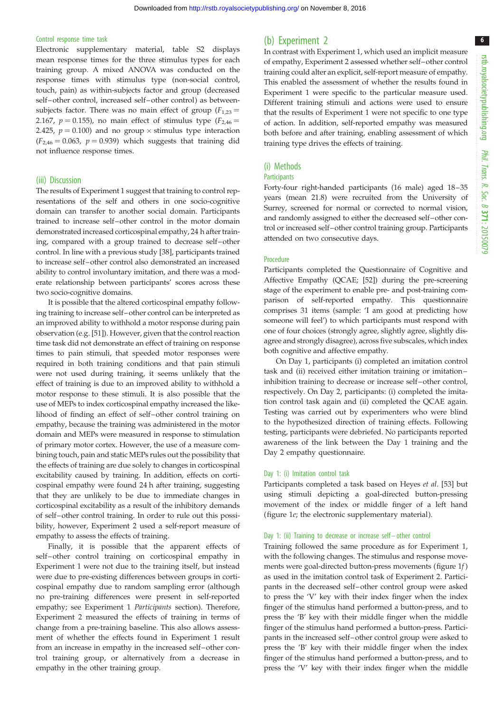#### Control response time task

Electronic supplementary material, table S2 displays mean response times for the three stimulus types for each training group. A mixed ANOVA was conducted on the response times with stimulus type (non-social control, touch, pain) as within-subjects factor and group (decreased self-other control, increased self-other control) as betweensubjects factor. There was no main effect of group  $(F_{1,23} =$ 2.167,  $p = 0.155$ ), no main effect of stimulus type ( $F_{2,46} =$ 2.425,  $p = 0.100$ ) and no group  $\times$  stimulus type interaction  $(F_{2,46} = 0.063, p = 0.939)$  which suggests that training did not influence response times.

#### (iii) Discussion

The results of Experiment 1 suggest that training to control representations of the self and others in one socio-cognitive domain can transfer to another social domain. Participants trained to increase self–other control in the motor domain demonstrated increased corticospinal empathy, 24 h after training, compared with a group trained to decrease self–other control. In line with a previous study [\[38](#page-8-0)], participants trained to increase self–other control also demonstrated an increased ability to control involuntary imitation, and there was a moderate relationship between participants' scores across these two socio-cognitive domains.

It is possible that the altered corticospinal empathy following training to increase self–other control can be interpreted as an improved ability to withhold a motor response during pain observation (e.g. [[51\]](#page-8-0)). However, given that the control reaction time task did not demonstrate an effect of training on response times to pain stimuli, that speeded motor responses were required in both training conditions and that pain stimuli were not used during training, it seems unlikely that the effect of training is due to an improved ability to withhold a motor response to these stimuli. It is also possible that the use of MEPs to index corticospinal empathy increased the likelihood of finding an effect of self–other control training on empathy, because the training was administered in the motor domain and MEPs were measured in response to stimulation of primary motor cortex. However, the use of a measure combining touch, pain and static MEPs rules out the possibility that the effects of training are due solely to changes in corticospinal excitability caused by training. In addition, effects on corticospinal empathy were found 24 h after training, suggesting that they are unlikely to be due to immediate changes in corticospinal excitability as a result of the inhibitory demands of self–other control training. In order to rule out this possibility, however, Experiment 2 used a self-report measure of empathy to assess the effects of training.

Finally, it is possible that the apparent effects of self-other control training on corticospinal empathy in Experiment 1 were not due to the training itself, but instead were due to pre-existing differences between groups in corticospinal empathy due to random sampling error (although no pre-training differences were present in self-reported empathy; see Experiment 1 Participants section). Therefore, Experiment 2 measured the effects of training in terms of change from a pre-training baseline. This also allows assessment of whether the effects found in Experiment 1 result from an increase in empathy in the increased self –other control training group, or alternatively from a decrease in empathy in the other training group.

## (b) Experiment 2

In contrast with Experiment 1, which used an implicit measure of empathy, Experiment 2 assessed whether self–other control training could alter an explicit, self-report measure of empathy. This enabled the assessment of whether the results found in Experiment 1 were specific to the particular measure used. Different training stimuli and actions were used to ensure that the results of Experiment 1 were not specific to one type of action. In addition, self-reported empathy was measured both before and after training, enabling assessment of which training type drives the effects of training.

### (i) Methods

#### **Participants**

Forty-four right-handed participants (16 male) aged 18–35 years (mean 21.8) were recruited from the University of Surrey, screened for normal or corrected to normal vision, and randomly assigned to either the decreased self–other control or increased self–other control training group. Participants attended on two consecutive days.

#### Procedure

Participants completed the Questionnaire of Cognitive and Affective Empathy (QCAE; [\[52](#page-8-0)]) during the pre-screening stage of the experiment to enable pre- and post-training comparison of self-reported empathy. This questionnaire comprises 31 items (sample: 'I am good at predicting how someone will feel') to which participants must respond with one of four choices (strongly agree, slightly agree, slightly disagree and strongly disagree), across five subscales, which index both cognitive and affective empathy.

On Day 1, participants (i) completed an imitation control task and (ii) received either imitation training or imitation – inhibition training to decrease or increase self –other control, respectively. On Day 2, participants: (i) completed the imitation control task again and (ii) completed the QCAE again. Testing was carried out by experimenters who were blind to the hypothesized direction of training effects. Following testing, participants were debriefed. No participants reported awareness of the link between the Day 1 training and the Day 2 empathy questionnaire.

#### Day 1: (i) Imitation control task

Participants completed a task based on Heyes et al. [\[53](#page-8-0)] but using stimuli depicting a goal-directed button-pressing movement of the index or middle finger of a left hand ([figure 1](#page-3-0)e; the electronic supplementary material).

#### Day 1: (ii) Training to decrease or increase self– other control

Training followed the same procedure as for Experiment 1, with the following changes. The stimulus and response move-ments were goal-directed button-press movements [\(figure 1](#page-3-0)f) as used in the imitation control task of Experiment 2. Participants in the decreased self–other control group were asked to press the 'V' key with their index finger when the index finger of the stimulus hand performed a button-press, and to press the 'B' key with their middle finger when the middle finger of the stimulus hand performed a button-press. Participants in the increased self–other control group were asked to press the 'B' key with their middle finger when the index finger of the stimulus hand performed a button-press, and to press the 'V' key with their index finger when the middle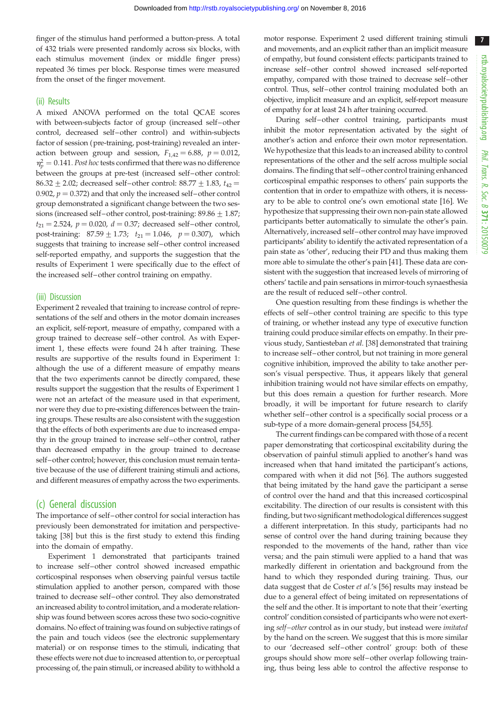7

finger of the stimulus hand performed a button-press. A total of 432 trials were presented randomly across six blocks, with each stimulus movement (index or middle finger press) repeated 36 times per block. Response times were measured from the onset of the finger movement.

#### (ii) Results

A mixed ANOVA performed on the total QCAE scores with between-subjects factor of group (increased self–other control, decreased self-other control) and within-subjects factor of session (pre-training, post-training) revealed an interaction between group and session,  $F_{1,42} = 6.88$ ,  $p = 0.012$ ,  $\eta_p^2 = 0.141$ . Post hoc tests confirmed that there was no difference between the groups at pre-test (increased self–other control: 86.32  $\pm$  2.02; decreased self–other control: 88.77  $\pm$  1.83,  $t_{42}$  = 0.902,  $p = 0.372$ ) and that only the increased self–other control group demonstrated a significant change between the two sessions (increased self-other control, post-training:  $89.86 \pm 1.87$ ;  $t_{21} = 2.524$ ,  $p = 0.020$ ,  $d = 0.37$ ; decreased self-other control, post-training:  $87.59 \pm 1.73$ ;  $t_{21} = 1.046$ ,  $p = 0.307$ ), which suggests that training to increase self–other control increased self-reported empathy, and supports the suggestion that the results of Experiment 1 were specifically due to the effect of the increased self–other control training on empathy.

#### (iii) Discussion

Experiment 2 revealed that training to increase control of representations of the self and others in the motor domain increases an explicit, self-report, measure of empathy, compared with a group trained to decrease self–other control. As with Experiment 1, these effects were found 24 h after training. These results are supportive of the results found in Experiment 1: although the use of a different measure of empathy means that the two experiments cannot be directly compared, these results support the suggestion that the results of Experiment 1 were not an artefact of the measure used in that experiment, nor were they due to pre-existing differences between the training groups. These results are also consistent with the suggestion that the effects of both experiments are due to increased empathy in the group trained to increase self–other control, rather than decreased empathy in the group trained to decrease self–other control; however, this conclusion must remain tentative because of the use of different training stimuli and actions, and different measures of empathy across the two experiments.

### (c) General discussion

The importance of self-other control for social interaction has previously been demonstrated for imitation and perspectivetaking [\[38](#page-8-0)] but this is the first study to extend this finding into the domain of empathy.

Experiment 1 demonstrated that participants trained to increase self–other control showed increased empathic corticospinal responses when observing painful versus tactile stimulation applied to another person, compared with those trained to decrease self–other control. They also demonstrated an increased ability to control imitation, and a moderate relationship was found between scores across these two socio-cognitive domains. No effect of training was found on subjective ratings of the pain and touch videos (see the electronic supplementary material) or on response times to the stimuli, indicating that these effects were not due to increased attention to, or perceptual processing of, the pain stimuli, or increased ability to withhold a

motor response. Experiment 2 used different training stimuli and movements, and an explicit rather than an implicit measure of empathy, but found consistent effects: participants trained to increase self–other control showed increased self-reported empathy, compared with those trained to decrease self–other control. Thus, self–other control training modulated both an objective, implicit measure and an explicit, self-report measure of empathy for at least 24 h after training occurred.

During self–other control training, participants must inhibit the motor representation activated by the sight of another's action and enforce their own motor representation. We hypothesize that this leads to an increased ability to control representations of the other and the self across multiple social domains. The finding that self–other control training enhanced corticospinal empathic responses to others' pain supports the contention that in order to empathize with others, it is necessary to be able to control one's own emotional state [[16\]](#page-7-0). We hypothesize that suppressing their own non-pain state allowed participants better automatically to simulate the other's pain. Alternatively, increased self–other control may have improved participants' ability to identify the activated representation of a pain state as 'other', reducing their PD and thus making them more able to simulate the other's pain [\[41](#page-8-0)]. These data are consistent with the suggestion that increased levels of mirroring of others' tactile and pain sensations in mirror-touch synaesthesia are the result of reduced self –other control.

One question resulting from these findings is whether the effects of self–other control training are specific to this type of training, or whether instead any type of executive function training could produce similar effects on empathy. In their previous study, Santiesteban et al. [[38\]](#page-8-0) demonstrated that training to increase self–other control, but not training in more general cognitive inhibition, improved the ability to take another person's visual perspective. Thus, it appears likely that general inhibition training would not have similar effects on empathy, but this does remain a question for further research. More broadly, it will be important for future research to clarify whether self–other control is a specifically social process or a sub-type of a more domain-general process [\[54,55](#page-8-0)].

The current findings can be compared with those of a recent paper demonstrating that corticospinal excitability during the observation of painful stimuli applied to another's hand was increased when that hand imitated the participant's actions, compared with when it did not [\[56](#page-8-0)]. The authors suggested that being imitated by the hand gave the participant a sense of control over the hand and that this increased corticospinal excitability. The direction of our results is consistent with this finding, but two significant methodological differences suggest a different interpretation. In this study, participants had no sense of control over the hand during training because they responded to the movements of the hand, rather than vice versa; and the pain stimuli were applied to a hand that was markedly different in orientation and background from the hand to which they responded during training. Thus, our data suggest that de Coster et al.'s [\[56](#page-8-0)] results may instead be due to a general effect of being imitated on representations of the self and the other. It is important to note that their 'exerting control' condition consisted of participants who were not exerting self–other control as in our study, but instead were imitated by the hand on the screen. We suggest that this is more similar to our 'decreased self–other control' group: both of these groups should show more self–other overlap following training, thus being less able to control the affective response to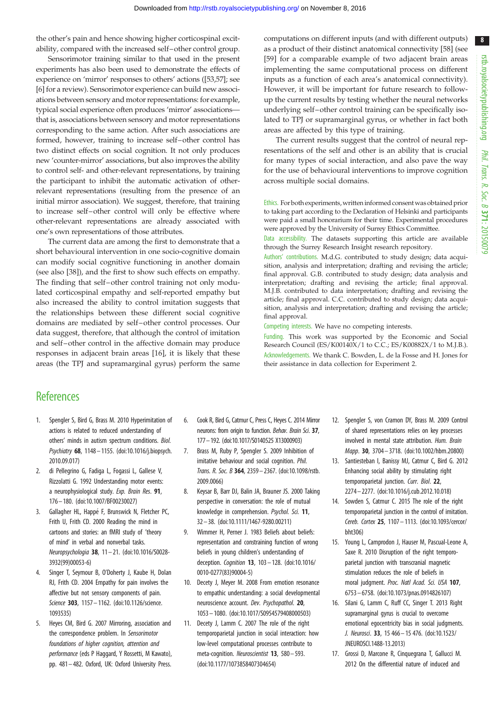8

<span id="page-7-0"></span>the other's pain and hence showing higher corticospinal excitability, compared with the increased self–other control group.

Sensorimotor training similar to that used in the present experiments has also been used to demonstrate the effects of experience on 'mirror' responses to others' actions ([\[53,57\]](#page-8-0); see [6] for a review). Sensorimotor experience can build new associations between sensory and motor representations: for example, typical social experience often produces 'mirror' associations that is, associations between sensory and motor representations corresponding to the same action. After such associations are formed, however, training to increase self–other control has two distinct effects on social cognition. It not only produces new 'counter-mirror' associations, but also improves the ability to control self- and other-relevant representations, by training the participant to inhibit the automatic activation of otherrelevant representations (resulting from the presence of an initial mirror association). We suggest, therefore, that training to increase self–other control will only be effective where other-relevant representations are already associated with one's own representations of those attributes.

The current data are among the first to demonstrate that a short behavioural intervention in one socio-cognitive domain can modify social cognitive functioning in another domain (see also [\[38](#page-8-0)]), and the first to show such effects on empathy. The finding that self-other control training not only modulated corticospinal empathy and self-reported empathy but also increased the ability to control imitation suggests that the relationships between these different social cognitive domains are mediated by self –other control processes. Our data suggest, therefore, that although the control of imitation and self –other control in the affective domain may produce responses in adjacent brain areas [16], it is likely that these areas (the TPJ and supramarginal gyrus) perform the same computations on different inputs (and with different outputs) as a product of their distinct anatomical connectivity [\[58](#page-8-0)] (see [[59\]](#page-8-0) for a comparable example of two adjacent brain areas implementing the same computational process on different inputs as a function of each area's anatomical connectivity). However, it will be important for future research to followup the current results by testing whether the neural networks underlying self –other control training can be specifically isolated to TPJ or supramarginal gyrus, or whether in fact both areas are affected by this type of training.

The current results suggest that the control of neural representations of the self and other is an ability that is crucial for many types of social interaction, and also pave the way for the use of behavioural interventions to improve cognition across multiple social domains.

Ethics. For both experiments, written informed consent was obtained prior to taking part according to the Declaration of Helsinki and participants were paid a small honorarium for their time. Experimental procedures were approved by the University of Surrey Ethics Committee.

Data accessibility. The datasets supporting this article are available through the Surrey Research Insight research repository.

Authors' contributions. M.d.G. contributed to study design; data acquisition, analysis and interpretation; drafting and revising the article; final approval. G.B. contributed to study design; data analysis and interpretation; drafting and revising the article; final approval. M.J.B. contributed to data interpretation; drafting and revising the article; final approval. C.C. contributed to study design; data acquisition, analysis and interpretation; drafting and revising the article; final approval.

Competing interests. We have no competing interests.

Funding. This work was supported by the Economic and Social Research Council (ES/K00140X/1 to C.C.; ES/K00882X/1 to M.J.B.). Acknowledgements. We thank C. Bowden, L. de la Fosse and H. Jones for their assistance in data collection for Experiment 2.

# **References**

- 1. Spengler S, Bird G, Brass M. 2010 Hyperimitation of actions is related to reduced understanding of others' minds in autism spectrum conditions. Biol. Psychiatry 68, 1148 – 1155. ([doi:10.1016/j.biopsych.](http://dx.doi.org/10.1016/j.biopsych.2010.09.017) [2010.09.017\)](http://dx.doi.org/10.1016/j.biopsych.2010.09.017)
- 2. di Pellegrino G, Fadiga L, Fogassi L, Gallese V, Rizzolatti G. 1992 Understanding motor events: a neurophysiological study. Exp. Brain Res. 91, 176– 180. ([doi:10.1007/BF00230027\)](http://dx.doi.org/10.1007/BF00230027)
- 3. Gallagher HL, Happé F, Brunswick N, Fletcher PC, Frith U, Frith CD. 2000 Reading the mind in cartoons and stories: an fMRI study of 'theory of mind' in verbal and nonverbal tasks. Neuropsychologia 38, 11 – 21. [\(doi:10.1016/S0028-](http://dx.doi.org/10.1016/S0028-3932(99)00053-6) [3932\(99\)00053-6\)](http://dx.doi.org/10.1016/S0028-3932(99)00053-6)
- 4. Singer T, Seymour B, O'Doherty J, Kaube H, Dolan RJ, Frith CD. 2004 Empathy for pain involves the affective but not sensory components of pain. Science 303, 1157 - 1162. [\(doi:10.1126/science.](http://dx.doi.org/10.1126/science.1093535) [1093535\)](http://dx.doi.org/10.1126/science.1093535)
- 5. Heyes CM, Bird G. 2007 Mirroring, association and the correspondence problem. In Sensorimotor foundations of higher cognition, attention and performance (eds P Haggard, Y Rossetti, M Kawato), pp. 481 – 482. Oxford, UK: Oxford University Press.
- 6. Cook R, Bird G, Catmur C, Press C, Heyes C. 2014 Mirror neurons: from origin to function. Behav. Brain Sci. 37, 177–192. ([doi:10.1017/S0140525 X13000903\)](http://dx.doi.org/10.1017/S0140525X13000903)
- 7. Brass M, Ruby P, Spengler S. 2009 Inhibition of imitative behaviour and social cognition. Phil. Trans. R. Soc. B 364, 2359– 2367. [\(doi:10.1098/rstb.](http://dx.doi.org/10.1098/rstb.2009.0066) [2009.0066\)](http://dx.doi.org/10.1098/rstb.2009.0066)
- 8. Keysar B, Barr DJ, Balin JA, Brauner JS. 2000 Taking perspective in conversation: the role of mutual knowledge in comprehension. Psychol. Sci. 11, 32 – 38. ([doi:10.1111/1467-9280.00211](http://dx.doi.org/10.1111/1467-9280.00211))
- 9. Wimmer H, Perner J. 1983 Beliefs about beliefs: representation and constraining function of wrong beliefs in young children's understanding of deception. Cognition 13, 103 – 128. [\(doi:10.1016/](http://dx.doi.org/10.1016/0010-0277(83)90004-5) [0010-0277\(83\)90004-5](http://dx.doi.org/10.1016/0010-0277(83)90004-5))
- 10. Decety J, Meyer M. 2008 From emotion resonance to empathic understanding: a social developmental neuroscience account. Dev. Psychopathol. 20, 1053– 1080. [\(doi:10.1017/S0954579408000503\)](http://dx.doi.org/10.1017/S0954579408000503)
- 11. Decety J, Lamm C. 2007 The role of the right temporoparietal junction in social interaction: how low-level computational processes contribute to meta-cognition. Neuroscientist 13, 580 - 593. [\(doi:10.1177/1073858407304654\)](http://dx.doi.org/10.1177/1073858407304654)
- 12. Spengler S, von Cramon DY, Brass M. 2009 Control of shared representations relies on key processes involved in mental state attribution. Hum. Brain Mapp. 30, 3704 – 3718. [\(doi:10.1002/hbm.20800\)](http://dx.doi.org/10.1002/hbm.20800)
- 13. Santiesteban I, Banissy MJ, Catmur C, Bird G. 2012 Enhancing social ability by stimulating right temporoparietal junction. Curr. Biol. 22, 2274– 2277. ([doi:10.1016/j.cub.2012.10.018](http://dx.doi.org/10.1016/j.cub.2012.10.018))
- 14. Sowden S, Catmur C. 2015 The role of the right temporoparietal junction in the control of imitation. Cereb. Cortex 25, 1107 – 1113. ([doi:10.1093/cercor/](http://dx.doi.org/10.1093/cercor/bht306) [bht306](http://dx.doi.org/10.1093/cercor/bht306))
- 15. Young L, Camprodon J, Hauser M, Pascual-Leone A, Saxe R. 2010 Disruption of the right temporoparietal junction with transcranial magnetic stimulation reduces the role of beliefs in moral judgment. Proc. Natl Acad. Sci. USA 107, 6753– 6758. ([doi:10.1073/pnas.0914826107\)](http://dx.doi.org/10.1073/pnas.0914826107)
- 16. Silani G, Lamm C, Ruff CC, Singer T. 2013 Right supramarginal gyrus is crucial to overcome emotional egocentricity bias in social judgments. J. Neurosci. 33, 15 466– 15 476. ([doi:10.1523/](http://dx.doi.org/10.1523/JNEUROSCI.1488-13.2013) [JNEUROSCI.1488-13.2013](http://dx.doi.org/10.1523/JNEUROSCI.1488-13.2013))
- 17. Grossi D, Marcone R, Cinquegrana T, Gallucci M. 2012 On the differential nature of induced and